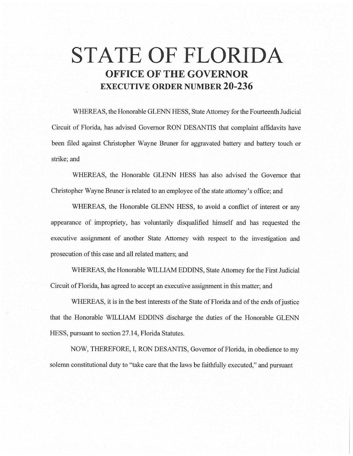# **STATE OF FLORIDA OFFICE OF THE GOVERNOR EXECUTIVE ORDER NUMBER 20-236**

WHEREAS, the Honorable GLENN HESS, State Attorney for the Fourteenth Judicial Circuit of Florida, has advised Governor RON DESANTIS that complaint affidavits have been filed against Christopher Wayne Bruner for aggravated battery and battery touch or strike; and

WHEREAS, the Honorable GLENN HESS has also advised the Governor that Christopher Wayne Bruner is related to an employee of the state attorney's office; and

WHEREAS, the Honorable GLENN HESS, to avoid a conflict of interest or any appearance of impropriety, has voluntarily disqualified himself and has requested the executive assignment of another State Attorney with respect to the investigation and prosecution of this case and all related matters; and

WHEREAS, the Honorable WILLIAM EDDINS, State Attorney for the First Judicial Circuit of Florida, has agreed to accept an executive assignment in this matter; and

WHEREAS, it is in the best interests of the State of Florida and of the ends of justice that the Honorable WILLIAM EDDINS discharge the duties of the Honorable GLENN HESS, pursuant to section 27 .14, Florida Statutes.

NOW, THEREFORE, I, RON DESANTIS, Governor of Florida, in obedience to my solemn constitutional duty to "take care that the laws be faithfully executed," and pursuant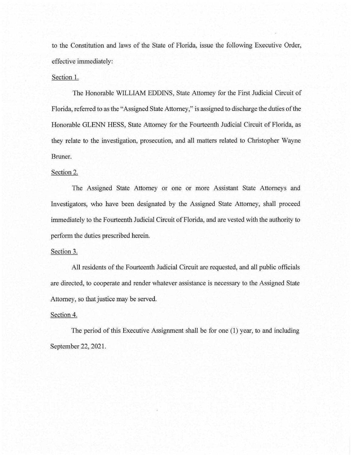to the Constitution and laws of the State of Florida, issue the following Executive Order, effective immediately:

## Section 1.

The Honorable WILLIAM EDDINS, State Attorney for the First Judicial Circuit of Florida, referred to as the "Assigned State Attorney," is assigned to discharge the duties of the Honorable GLENN HESS, State Attorney for the Fourteenth Judicial Circuit of Florida, as they relate to the investigation, prosecution, and all matters related to Christopher Wayne Bruner.

### Section 2.

The Assigned State Attorney or one or more Assistant State Attorneys and Investigators, who have been designated by the Assigned State Attorney, shall proceed immediately to the Fourteenth Judicial Circuit of Florida, and are vested with the authority to perform the duties prescribed herein.

#### Section 3.

All residents of the Fourteenth Judicial Circuit are requested, and all public officials are directed, to cooperate and render whatever assistance is necessary to the Assigned State Attorney, so that justice may be served.

### Section 4.

The period of this Executive Assignment shall be for one (1) year, to and including September 22, 2021.